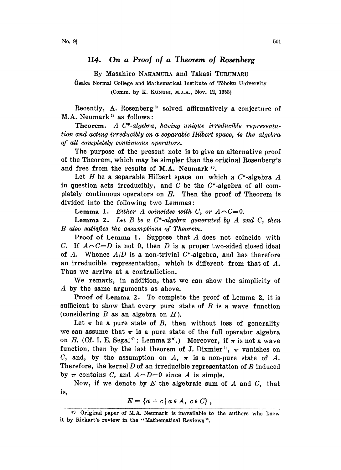## 114. On a Proof of a Theorem of Rosenberg

By Masahiro NAKAMURA and Takasi TURUMARU

Ôsaka Normal College and Mathematical Institute of Tôhoku University (Comm. by K. KUNUGI, M.J.A., Nov. 12, 1953)

Recently, A. Rosenberg<sup>3)</sup> solved affirmatively a conjecture of M.A. Neumark<sup>2</sup> as follows:

**Theorem.** A  $C^*$ -algebra, having unique irreducible representation and acting irreducibly on a separable Hilbert space, is the algebra of all completely continuous operators.

The purpose of the present note is to give an alternative proof of the Theorem, which may be simpler than the original Rosenberg's and free from the results of M.A. Neumark\*).

Let H be a separable Hilbert space on which a  $C^*$ -algebra A in question acts irreducibly, and  $C$  be the  $C^*$ -algebra of all completely continuous operators on  $H$ . Then the proof of Theorem is divided into the following two Lemmas:

**Lemma 1.** Either A coincides with C, or  $A \cap C = 0$ .

**Lemma 2.** Let  $B$  be a  $C^*$ -algebra generated by  $A$  and  $C$ , then B also satisfies the assumptions of Theorem.

Proof of Lemma 1. Suppose that A does not coincide with C. If  $A \cap C = D$  is not 0, then D is a proper two-sided closed ideal of A. Whence  $A/D$  is a non-trivial C\*-algebra, and has therefore an irreducible representation, which is different from that of A. Thus we arrive at a contradiction.

We remark, in addition, that we can show the simplicity of A by the same arguments as above.

Proof of Lemma 2. To complete the proof of Lemma 2, it is sufficient to show that every pure state of  $B$  is a wave function (considering  $B$  as an algebra on  $H$ ).

Let  $\pi$  be a pure state of B, then without loss of generality we can assume that  $\pi$  is a pure state of the full operator algebra on H. (Cf. I. E. Segal<sup>4)</sup>; Lemma  $2<sup>2</sup>$ .) Moreover, if  $\pi$  is not a wave function, then by the last theorem of J. Dixmier<sup>1</sup>,  $\pi$  vanishes on C, and, by the assumption on  $A$ ,  $\pi$  is a non-pure state of  $A$ . Therefore, the kernel  $D$  of an irreducible representation of  $B$  induced by  $\pi$  contains C, and  $A \cap D=0$  since A is simple.

Now, if we denote by  $E$  the algebraic sum of  $A$  and  $C$ , that is

$$
E = \{a + c \mid a \in A, c \in C\},\,
$$

Original paper of M.A. Neumark is inavailable to the authors who knew it by Rickart's review in the "Mathematical Reviews ".